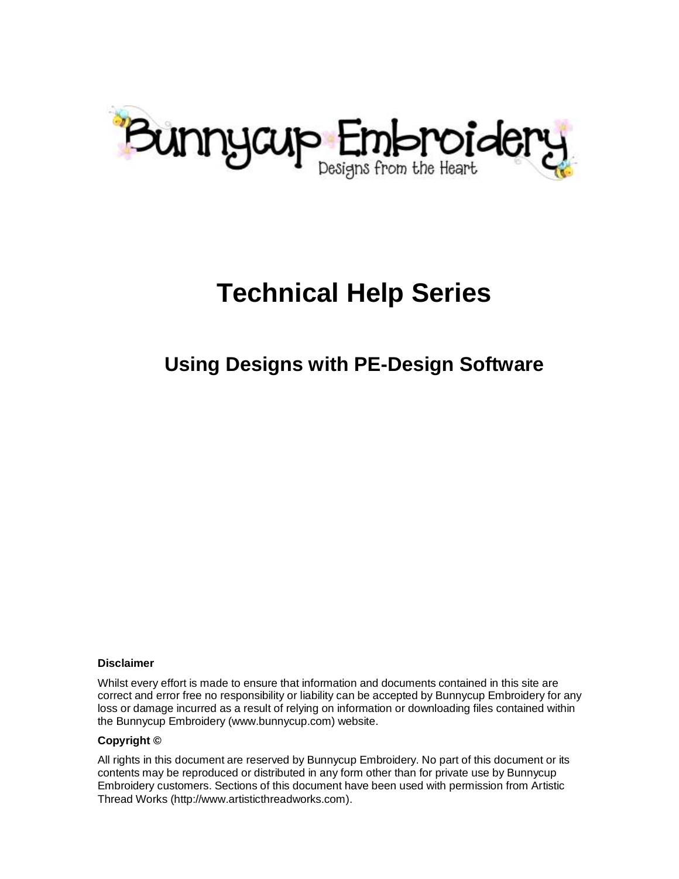

# **Technical Help Series**

### **Using Designs with PE-Design Software**

#### **Disclaimer**

Whilst every effort is made to ensure that information and documents contained in this site are correct and error free no responsibility or liability can be accepted by Bunnycup Embroidery for any loss or damage incurred as a result of relying on information or downloading files contained within the Bunnycup Embroidery (www.bunnycup.com) website.

#### **Copyright ©**

All rights in this document are reserved by Bunnycup Embroidery. No part of this document or its contents may be reproduced or distributed in any form other than for private use by Bunnycup Embroidery customers. Sections of this document have been used with permission from Artistic Thread Works (http://www.artisticthreadworks.com).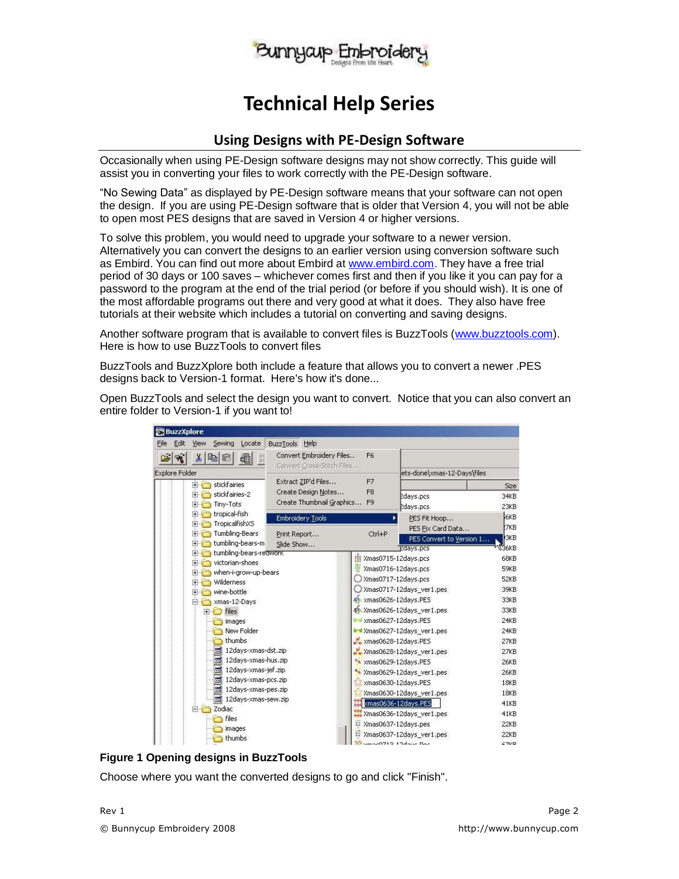

### **Technical Help Series**

#### **Using Designs with PE-Design Software**

Occasionally when using PE-Design software designs may not show correctly. This guide will assist you in converting your files to work correctly with the PE-Design software.

"No Sewing Data" as displayed by PE-Design software means that your software can not open the design. If you are using PE-Design software that is older that Version 4, you will not be able to open most PES designs that are saved in Version 4 or higher versions.

To solve this problem, you would need to upgrade your software to a newer version. Alternatively you can convert the designs to an earlier version using conversion software such as Embird. You can find out more about Embird at [www.embird.com.](http://www.embird.com/) They have a free trial period of 30 days or 100 saves – whichever comes first and then if you like it you can pay for a password to the program at the end of the trial period (or before if you should wish). It is one of the most affordable programs out there and very good at what it does. They also have free tutorials at their website which includes a tutorial on converting and saving designs.

Another software program that is available to convert files is BuzzTools [\(www.buzztools.com\)](http://www.buzztools.com/). Here is how to use BuzzTools to convert files

BuzzTools and BuzzXplore both include a feature that allows you to convert a newer .PES designs back to Version-1 format. Here's how it's done...

Open BuzzTools and select the design you want to convert. Notice that you can also convert an entire folder to Version-1 if you want to!

| <b>BuzzXplore</b>                                              |                                                                                                      |                              |                                         |                                                          |  |
|----------------------------------------------------------------|------------------------------------------------------------------------------------------------------|------------------------------|-----------------------------------------|----------------------------------------------------------|--|
| Edit<br>File<br>View<br>Sewing<br>Locate                       | BuzzTools<br><b>Help</b>                                                                             |                              |                                         |                                                          |  |
| 覽<br>¥<br>4<br>电国                                              | Convert Embroidery Files<br>$\begin{array}{c} 0 \\ 0 \\ 1 \end{array}$<br>Convert Cross-Stitch Files | F <sub>6</sub>               |                                         |                                                          |  |
| <b>Explore Folder</b>                                          |                                                                                                      |                              |                                         | ets-done\xmas-12-Days\files                              |  |
| stickfairies<br>$+ +$                                          | Extract ZIP'd Files                                                                                  | F7                           |                                         | Size                                                     |  |
| stickfairies-2<br><b>FI-RED</b><br>Tiny-Tots<br>$+ +$          | Create Design Notes<br>F <sub>8</sub><br>Create Thumbnail Graphics<br>F <sub>9</sub>                 |                              | edays.pcs<br>edays.pcs                  | 34KB<br>23KB                                             |  |
| tropical-fish<br>$\left  + \right $<br>TropicalfishXS<br>$+ +$ | Embroidery Tools                                                                                     |                              | PES Fit Hoop<br>PES Fix Card Data       | <b>GKB</b><br>:7KB                                       |  |
| Tumbling-Bears<br>田信<br>tumbling-bears-m<br>王信                 | Print Report<br>Slide Show                                                                           | Ctrl+P                       |                                         | <b>GKB</b><br>PES Convert to Version 1<br><b>NG</b> S6KB |  |
| tumbling-bears-reawork<br>$+ +$                                |                                                                                                      |                              | <b>Edays.pcs</b><br>Xmas0715-12days.pcs | 68KB                                                     |  |
| victorian-shoes<br>$+$<br>when-i-grow-up-bears<br>田信           |                                                                                                      |                              | Xmas0716-12days.pcs                     | 59KB                                                     |  |
| Wilderness<br>田信                                               |                                                                                                      |                              | Xmas0717-12days.pcs                     | 52KB                                                     |  |
| wine-bottle<br>$+$                                             |                                                                                                      |                              | Xmas0717-12days_ver1.pes                | 39KB                                                     |  |
| El Xmas-12-Days                                                |                                                                                                      |                              | ** xmas0626-12days.PES                  | 33KB                                                     |  |
| <b>files</b><br>$\overline{+}$                                 |                                                                                                      | Xmas0626-12days_ver1.pes     |                                         |                                                          |  |
| images                                                         |                                                                                                      | <b>Maxmas0627-12days.PES</b> | 24KB                                    |                                                          |  |
| New Folder                                                     |                                                                                                      | Xmas0627-12days_ver1.pes     |                                         |                                                          |  |
| thumbs                                                         |                                                                                                      | xmas0628-12days.PES          | 27KB                                    |                                                          |  |
| 12days-xmas-dst.zip                                            |                                                                                                      | Xmas0628-12days_ver1.pes     |                                         |                                                          |  |
| $\overline{10}$<br>12days-xmas-hus.zip                         |                                                                                                      | * xmas0629-12days.PES        |                                         |                                                          |  |
| $\frac{1}{40}$<br>12days-xmas-jef.zip                          |                                                                                                      |                              | Xmas0629-12days ver1.pes                |                                                          |  |
| $\overline{45}$<br>12days-xmas-pcs.zip                         |                                                                                                      |                              | xmas0630-12days.PES                     |                                                          |  |
| 12days-xmas-pes.zip                                            |                                                                                                      |                              | Xmas0630-12days_ver1.pes                |                                                          |  |
| i.<br>12days-xmas-sew.zip                                      |                                                                                                      | xmas0636-12days.PES          |                                         | 41KB                                                     |  |
| Zodiac<br>日伝                                                   |                                                                                                      |                              | Xmas0636-12days_ver1.pes                | 41KB                                                     |  |
| <b>files</b>                                                   |                                                                                                      | Xmas0637-12days.pes          |                                         | 22KB                                                     |  |
| images<br>thumbs                                               |                                                                                                      |                              | Xmas0637-12days_ver1.pes                |                                                          |  |
|                                                                | vmac0712 12daug Doc                                                                                  |                              |                                         |                                                          |  |



Choose where you want the converted designs to go and click "Finish".